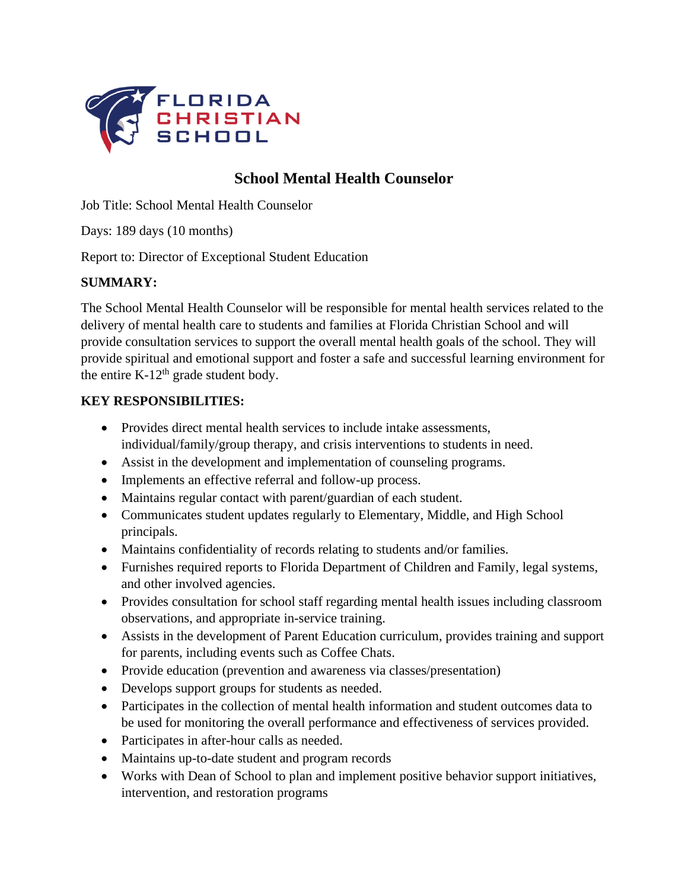

# **School Mental Health Counselor**

Job Title: School Mental Health Counselor

Days: 189 days (10 months)

Report to: Director of Exceptional Student Education

### **SUMMARY:**

The School Mental Health Counselor will be responsible for mental health services related to the delivery of mental health care to students and families at Florida Christian School and will provide consultation services to support the overall mental health goals of the school. They will provide spiritual and emotional support and foster a safe and successful learning environment for the entire K-12<sup>th</sup> grade student body.

#### **KEY RESPONSIBILITIES:**

- Provides direct mental health services to include intake assessments, individual/family/group therapy, and crisis interventions to students in need.
- Assist in the development and implementation of counseling programs.
- Implements an effective referral and follow-up process.
- Maintains regular contact with parent/guardian of each student.
- Communicates student updates regularly to Elementary, Middle, and High School principals.
- Maintains confidentiality of records relating to students and/or families.
- Furnishes required reports to Florida Department of Children and Family, legal systems, and other involved agencies.
- Provides consultation for school staff regarding mental health issues including classroom observations, and appropriate in-service training.
- Assists in the development of Parent Education curriculum, provides training and support for parents, including events such as Coffee Chats.
- Provide education (prevention and awareness via classes/presentation)
- Develops support groups for students as needed.
- Participates in the collection of mental health information and student outcomes data to be used for monitoring the overall performance and effectiveness of services provided.
- Participates in after-hour calls as needed.
- Maintains up-to-date student and program records
- Works with Dean of School to plan and implement positive behavior support initiatives, intervention, and restoration programs